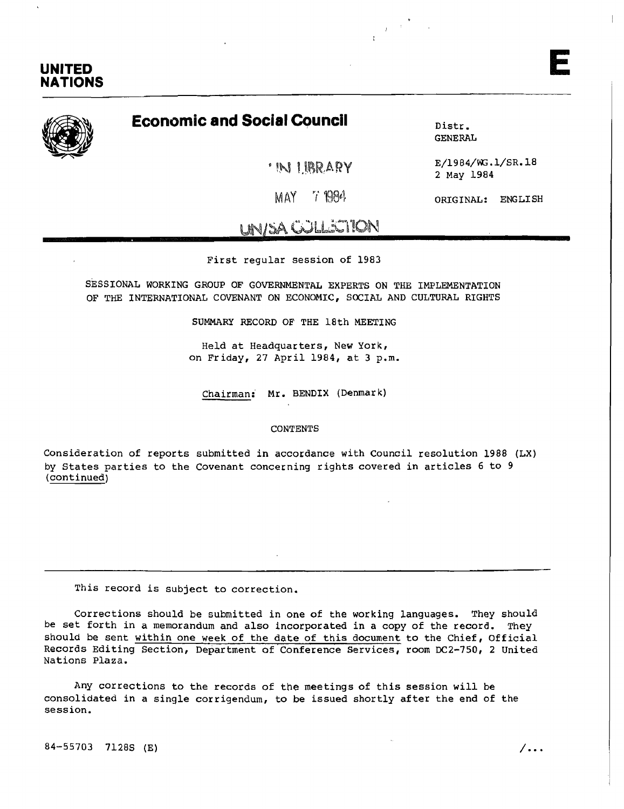

## **Economic and Social Council**

'IN LIBRARY

Distr. GENERAL

 $\frac{1}{T}$  and  $\frac{1}{T}$ 

E/1984/WG.l/SR.18 2 May 1984

MAY 71984

ORIGINAL: ENGLISH

# UNJ::A COLLECTION

First regular session of 1983

SESSIONAL WORKING GROUP OF GOVERNMENTAL EXPERTS ON THE IMPLEMENTATION OF THE INTERNATIONAL COVENANT ON ECONOMIC, SOCIAL AND CULTURAL RIGHTS

SUMMARY RECORD OF THE 18th MEETING

Held at Headquarters, New York, on Friday, 27 April 1984, at 3 p.m.

Chairman: **Mr.** BENDIX (Denmark)

#### CONTENTS

Consideration of reports submitted in accordance with Council resolution 1988 (LX) by States parties to the Covenant concerning rights covered in articles 6 to 9 (continued)

This record is subject to correction.

Corrections should be submitted in one of the working languages. They should be set forth in a memorandum and also incorporated in a copy of the record. They should be sent within one week of the date of this document to the Chief, Official Records Editing Section, Department of Conference Services, room DC2-750, 2 united Nations Plaza.

Any corrections to the records of the meetings of this session will be consolidated in a single corrigendum, to be issued shortly after the end of the session.

 $84-55703$  7128S (E)  $/$ ...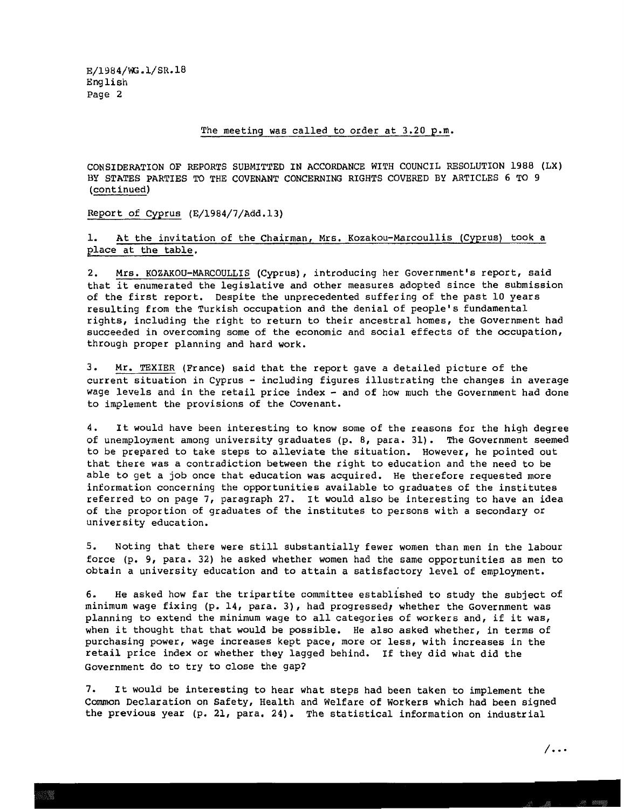#### The meeting was called to order at 3.20 p.m.

CONSIDERATION OF REPORTS SUBMITTED IN ACCORDANCE WITH COUNCIL RESOLUTION 1988 (LX) BY STATES PARTIES TO THE COVENANT CONCERNING RIGHTS COVERED BY ARTICLES 6 TO 9 (continued)

Report of Cyprus (E/1984/7/Add.13)

1. At the invitation of the Chairman, Mrs. Kozakou-Marcoullis (Cyprus) took a place at the table.

2. Mrs. KOZAKOU-MARCOULLIS (Cyprus), introducing her Government's report, said that it enumerated the legislative and other measures adopted since the submission of the first report. Despite the unprecedented suffering of the past 10 years resulting from the Turkish occupation and the denial of people's fundamental rights, including the right to return to their ancestral homes, the Government had succeeded in overcoming some of the economic and social effects of the occupation, through proper planning and hard work.

3. Mr. TEXIER (France) said that the report gave a detailed picture of the current situation in Cyprus - including figures illustrating the changes in average wage levels and in the retail price index - and of how much the Government had done to implement the provisions of the Covenant.

4. It would have been interesting to know some of the reasons for the high degree of unemployment among university graduates (p. 8, para. 31). The Government seemed to be prepared to take steps to alleviate the situation. However, he pointed out that there was a contradiction between the right to education and the need to be able to get a job once that education was acquired. He therefore requested more information concerning the opportunities available to graduates of the institutes referred to on page 7, paragraph 27. It would also be interesting to have an idea of the proportion of graduates of the institutes to persons with a secondary or university education.

5. Noting that there were still substantially fewer women than men in the labour force (p. 9, para. 32) he asked whether women had the same opportunities as men to obtain a university education and to attain a satisfactory level of employment.

6. He asked how far the tripartite committee established to study the subject of minimum wage fixing (p. 14, para. 3), had progressed, whether the Government was planning to extend the minimum wage to all categories of workers and, if it was, when it thought that that would be possible. He also asked whether, in terms of purchasing power, wage increases kept pace, more or less, with increases in the retail price index or whether they lagged behind. If they did what did the Government do to try to close the gap?

7. It would be interesting to hear what steps had been taken to implement the Common Declaration on Safety, Health and Welfare of Workers which had been signed the previous year (p. 21, para. 24). The statistical information on industrial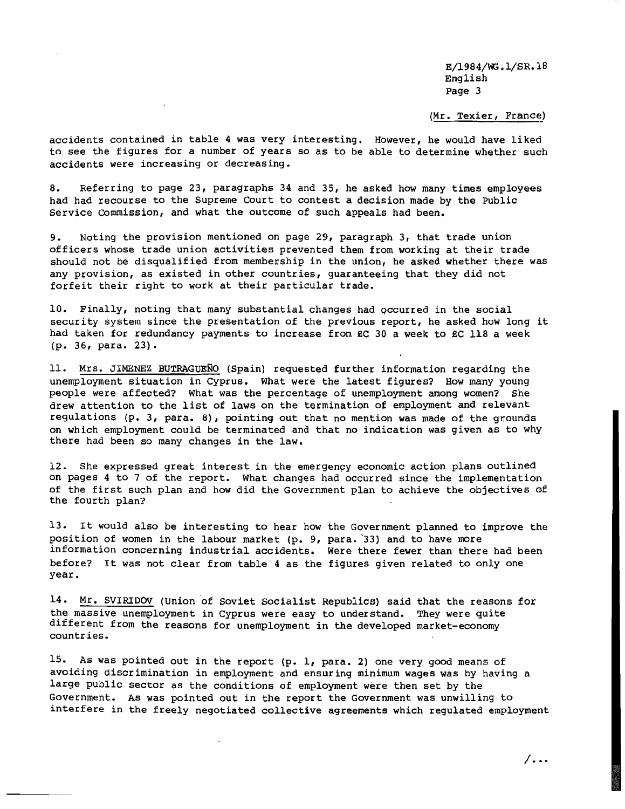(Mr. Texier, France)

accidents contained in table 4 was very interesting. However, he would have liked to see the figures for a number of years so as to be able to determine whether such accidents were increasing or decreasing.

8. Referring to page 23, paragraphs 34 and 35, he asked how many times employees had had recourse to the Supreme Court to contest a decision made by the Public Service Commission, and what the outcome of such appeals had been.

9. Noting the provision mentioned on page 29, paragraph 3, that trade union officers whose trade union activities prevented them from working at their trade should not be disqualified from membership in the union, he asked whether there was any provision, as existed in other countries, guaranteeing that they did not forfeit their right to work at their particular trade.

10. Finally, noting that many substantial changes had qccurred in the social security system since the presentation of the previous report, he asked how long it had taken for redundancy payments to increase from £C 30 a week to £C 118 a week (p. 36, para. 23).

11. Mrs. JIMENEZ BUTRAGUENO (Spain) requested further information regarding the unemployment situation in Cyprus. What were the latest figures? How many young people were affected? What was the percentage of unemployment among women? She drew attention to the list of laws on the termination of employment and relevant regulations (p. 3, para. 8), pointing out that no mention was made of the grounds on which employment could be terminated and that no indication was given as to why there had been so many changes in the law.

12. She expressed great interest in the emergency economic action plans outlined on pages 4 to 7 of the report. What changes had occurred since the implementation of the first such plan and how did the Government plan to achieve the objectives of the fourth plan?

13. It would also be interesting to hear how the Government planned to improve the position of women in the labour market (p. 9, para. '33) and to have more information concerning industrial accidents. Were there fewer than there had been before? It was not clear from table <sup>4</sup> as the figures given. related to only one year.

14. Mr. SVIRIDOV (Union of Soviet Socialist Republics) said that the reasons for the massive unemployment in Cyprus were easy to understand. They were quite different from the reasons for unemployment in the developed market-economy countries.

15. As was pointed out in the report (p. 1, para. 2) one very good means of avoiding discrimination in employment and ensuring minimum wages was by having a large public sector as the conditions of employment were then set by the Government. As was pointed out in the report the Government was unwilling to interfere in the freely negotiated collective agreements which regulated employment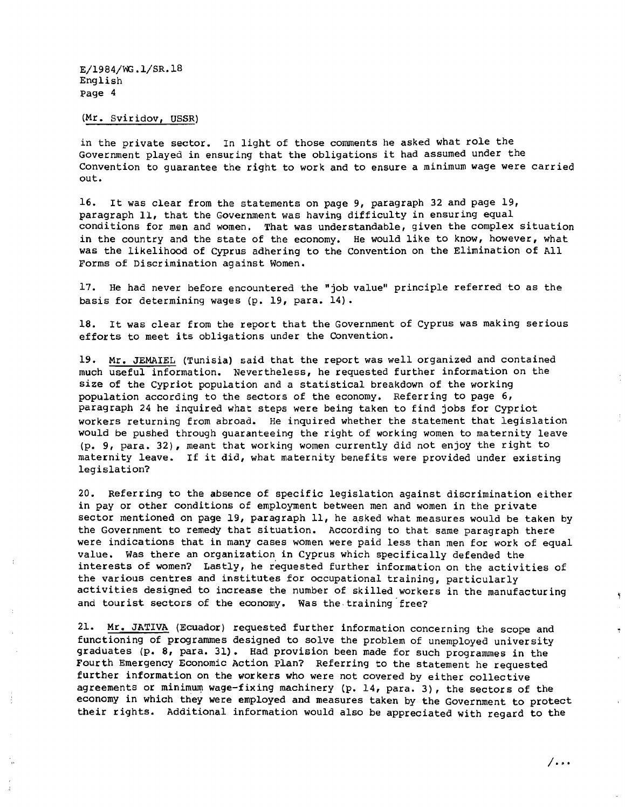#### (Mr. Sviridov, USSR)

in the private sector. In light of those comments he asked what role the Government played in ensuring that the obligations it had assumed under the Convention to guarantee the right to work and to ensure a minimum wage were carried out.

16. It was clear from the statements on page 9, paragraph <sup>32</sup> and page 19, paragraph 11, that the Government was having difficulty in ensuring equal conditions for men and women. That was understandable, given the complex situation in the country and the state of the economy. He would like to know, however, what was the likelihood of Cyprus adhering to the Convention on the Elimination of All Forms of Discrimination against Women.

17. He had never before encountered the "job value" principle referred to as the basis for determining wages (p. 19, para. 14).

18. It was clear from the report that the Government of Cyprus was making serious efforts to meet its obligations under the Oonvention.

19. Mr. JEMAIEL (Tunisia) said that the report was well organized and contained much useful information. Nevertheless, he requested further information on the size of the Cypriot population and a statistical breakdown of the working population according to the sectors of the economy. Referring to page  $6$ , paragraph 24 he inquired what steps were being taken to find jobs for Cypriot workers returning from abroad. He inquired whether the statement that legislation would be pushed through guaranteeing the right of working women to maternity leave (p. 9, para. 32), meant that working women currently did not enjoy the right to maternity leave. If it did, what maternity benefits were provided under existing legislation?

20. Referring to the absence of specific legislation against discrimination either in pay or other conditions of employment between men and women in the private sector mentioned on page 19, paragraph 11, he asked what measures would be taken by the Government to remedy that situation. According to that same paragraph there were indications that in many cases women were paid less than men for work of equal value. Was there an organization in Cyprus which specifically defended the interests of women? Lastly, he requested further information on the activities of the various centres and institutes for occupational training, particularly activities designed to increase the number of skilled workers in the manufacturing and tourist sectors of the economy. Was the training free?

21. Mr. JATIVA (Ecuador) requested further information concerning the scope and functioning of programmes designed to solve the problem of unemployed university graduates (p. 8, para. 31). Had provision been made for such programmes in the Fourth Emergency Economic Action plan? Referring to the statement he requested further information on the workers who were not covered by either collective agreements or minimum wage-fixing machinery (p. 14, para. 3), the sectors of the economy in which they were employed and measures taken by the Government to protect their rights. Additional information would also be appreciated with regard to the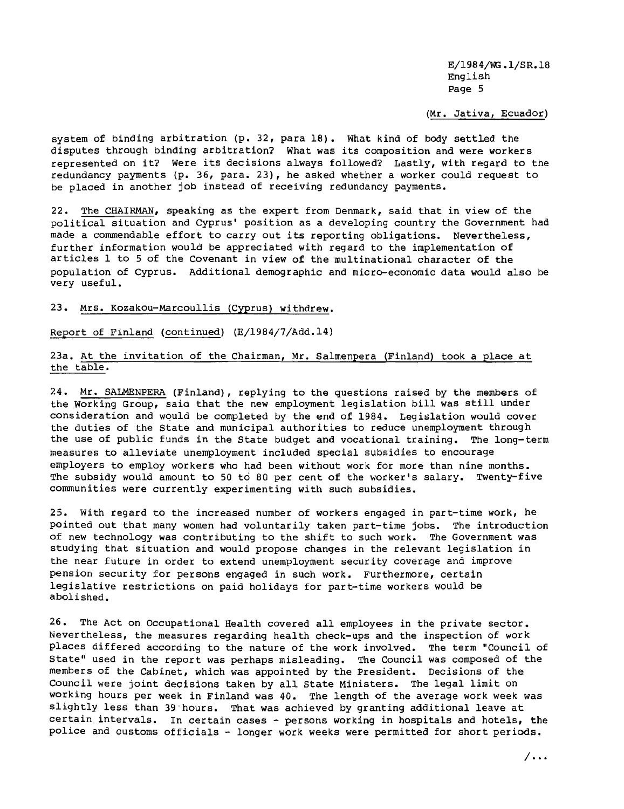(Mr. Jativa, Ecuador)

system of binding arbitration (p. 32, para 18). What kind of body settled the disputes through binding arbitration? What was its composition and were workers represented on it? Were its decisions always followed? Lastly, with regard to the redundancy payments (p. 36, para. 23), he asked whether a worker could request to be placed in another job instead of receiving redundancy payments.

22. The CHAIRMAN, speaking as the expert from Denmark, said that in view of the political situation and Cyprus' position as a developing country the Government had made <sup>a</sup> commendable effort to carry out its reporting obligations. Nevertheless, further information would be appreciated with regard to the implementation of articles 1 to 5 of the Covenant in view of the multinational character of the population of Cyprus. Additional demographic and micro-economic data would also be very useful.

23. Mrs. Kozakou-Marcoullis (Cyprus) withdrew.

Report of Finland (continued) (E/1984/7/Add.14)

23a. At the invitation of the Chairman, Mr. Salmenpera (Finland) took <sup>a</sup> place at the table.

24. Mr. SALMENPERA (Finland), replying to the questions raised by the members of the Working Group, said that the new employment legislation bill was still under consideration and would be completed by the end of 1984. Legislation would cover the duties of the state and municipal authorities to reduce unemployment through the use of public funds in the State budget and vocational training. The long-term measures to alleviate unemployment included special subsidies to encourage employers to employ workers who had been without work for more than nine months. The subsidy would amount to 50 to 80 per cent of the worker's salary. Twenty-five communities were currently experimenting with such subsidies.

25. With regard to the increased number of workers engaged in part-time work, he pointed out that many women had voluntarily taken part-time jobs. The introduction of new technology was contributing to the shift to such work. The Government was studying that situation and would propose changes in the relevant legislation in the near future in order to extend unemployment security coverage and improve pension security for persons engaged in such work. Furthermore, certain legislative restrictions on paid holidays for part-time workers would be abolished.

26. The Act on Occupational Health covered all employees in the private sector. Nevertheless, the measures regarding health check-ups and the inspection of work places differed according to the nature of the work involved. The term "Council of state" used in the report was perhaps misleading. The Council was composed of the members of the Cabinet, which was appointed by the President. Decisions of the Council were joint decisions taken by all state Ministers. The legal limit on working hours per week in Finland was 40. The length of the average work week was slightly less than 39-hours. That was achieved by granting additional leave at certain intervals. In certain cases - persons working in hospitals and hotels, the police and customs officials - longer work weeks were permitted for short periods.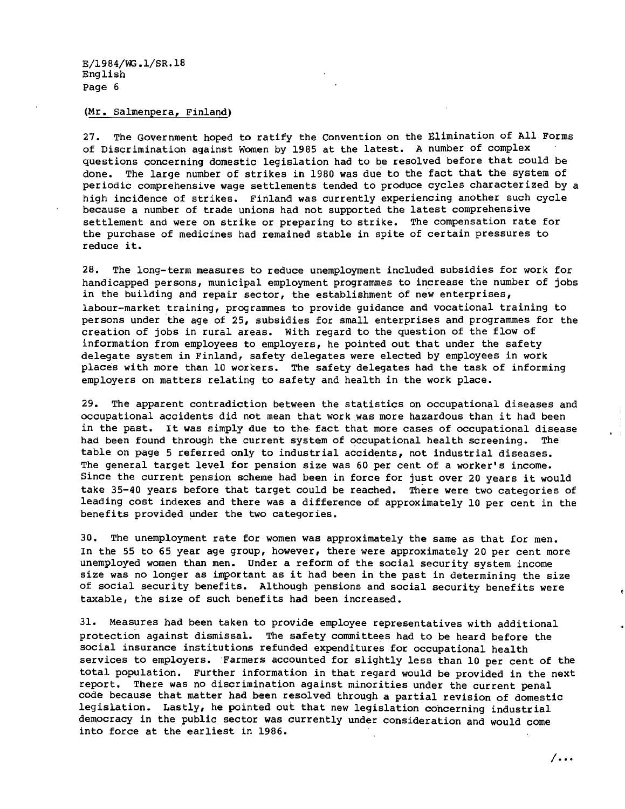#### (Mr. salmenpera, Finland)

27. The Government hoped to ratify the Convention on the Elimination of All Forms of Discrimination against Women by 1985 at the latest. A number of complex questions concerning domestic legislation had to be resolved before that could be done. The large number of strikes in 1980 was due to the fact that the system of periodic comprehensive wage settlements tended to produce cycles characterized by a high incidence of strikes. Finland was currently experiencing another such cycle because a number of trade unions had not supported the latest comprehensive settlement and were on strike or preparing to strike. The compensation rate for the purchase of medicines had remained stable in spite of certain pressures to reduce it.

28. The long-term measures to reduce unemployment included subsidies for work for handicapped persons, municipal employment programmes to increase the number of jobs in the building and repair sector, the establishment of new enterprises, labour-market training, programmes to provide guidance and vocational training to persons under the age of 25, subsidies for small enterprises and programmes for the creation of jobs in rural areas. With regard to the question of the flow of information from employees to employers, he pointed out that under the safety delegate system in Finland, safety delegates were elected by employees in work places with more than 10 workers. The safety delegates had the task of informing employers on matters relating to safety and health in the work place.

29. The apparent contradiction between the statistics on occupational diseases and occupational accidents did not mean that work was more hazardous than it had been in the past. It was simply due to the fact that more cases of occupational disease had been found through the current system of occupational health screening. The table on page 5 referred only to industrial accidents, not industrial diseases. The general target level for pension size was 60 per cent of a worker's income. Since the current pension scheme had been in force for just over <sup>20</sup> years it would take 35-40 years before that target could be reached. There were two categories of leading cost indexes and there was a difference of approximately 10 per cent in the benefits provided under the two categories.

30. The unemployment rate for women was approximately the same as that for men. In the 55 to 65 year age group, however, there were approximately 20 per cent more unemployed women than men. Under a reform of the social security system income size was no longer as important as it had been in the past in determining the size of social security benefits. Although pensions and social security benefits were taxable, the size of such benefits had been increased.

31. Measures had been taken to provide employee representatives with additional protection against dismissal. The safety committees had to be heard before the social insurance institutions refunded expenditures for occupational health services to employers. Farmers accounted for slightly less than 10 per cent of the total population. Further information in that regard would be provided in the next report. There was no discrimination against minorities under the current penal code because that matter had been resolved through a partial revision of domestic legislation. Lastly, he pointed out that new legislation concerning industrial democracy in the public sector was currently under consideration and would come into force at the earliest in 1986.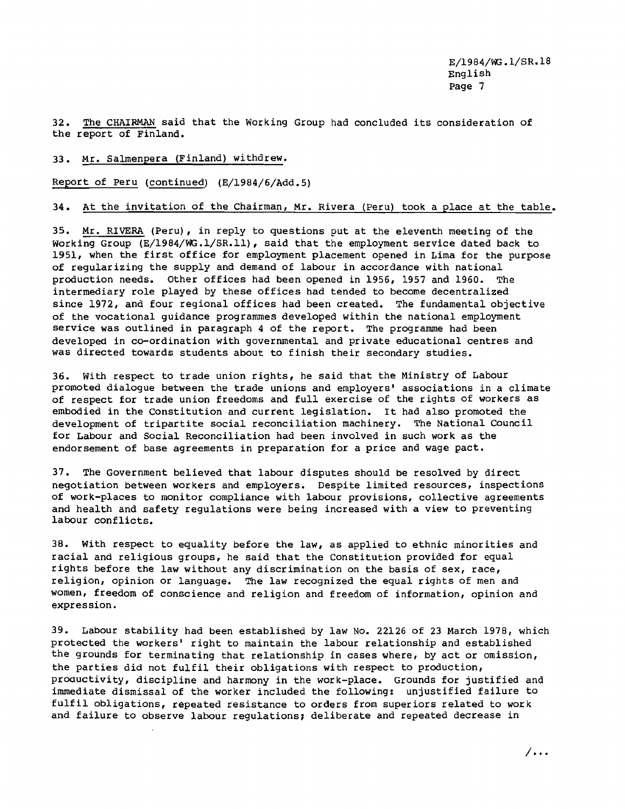32. The CHAIRMAN said that the Working Group had concluded its consideration of the report of Finland.

#### 33. Mr. Salmenpera (Finland) withdrew.

Report of Peru (continued) (E/1984/6/Add.5)

### 34. At the invitation of the Chairman, Mr. Rivera (Peru) took a place at the table.

35. Mr. RIVERA (Peru), in reply to questions put at the eleventh meeting of the Working Group (E/1984/WG.1/SR.11), said that the employment service dated back to 1951, when the first office for employment placement opened in Lima for the purpose of regularizing the supply and demand of labour in accordance with national production needs. Other offices had been opened in 1956, 1957 and 1960. The intermediary role played by these offices had tended to become decentralized since 1972, and four regional offices had been created. The fundamental objective of the vocational guidance programmes developed within the national employment service was outlined in paragraph 4 of the report. The programme had been developed in co-ordination with governmental and private educational centres and was directed towards students about to finish their secondary studies.

36. With respect to trade union rights, he said that the Ministry of Labour promoted dialogue between the trade unions and employers' associations in a climate of respect for trade union freedoms and full exercise of the rights of workers as embodied in the Constitution and current legislation. It had also promoted the development of tripartite social reconciliation machinery. The National Council for Labour and Social Reconciliation had been involved in such work as the endorsement of base agreements in preparation for a price and wage pact.

37. The Government believed that labour disputes should be resolved by direct negotiation between workers and employers. Despite limited resources, inspections of work-places to monitor compliance with labour provisions, collective agreements and health and safety regulations were being increased with a view to preventing labour conflicts.

38. With respect to equality before the law, as applied to ethnic minorities and racial and religious groups, he said that the Constitution provided for equal rights before the law without any discrimination on the basis of sex, race, religion, opinion or language. The law recognized the equal rights of men and women, freedom of conscience and religion and freedom of information, opinion and expression.

39. Labour stability had been established by law No. 22126 of 23 March 1978, which protected the workers' right to maintain the labour relationship and established the grounds for terminating that relationship in cases where, by act or omission, the parties did not fulfil their obligations with respect to production, productivity, discipline and harmony in the work-place. Grounds for justified and immediate dismissal of the worker included the following: unjustified failure to fulfil obligations, repeated resistance to orders from superiors related to work and failure to observe labour regulations; deliberate and repeated decrease in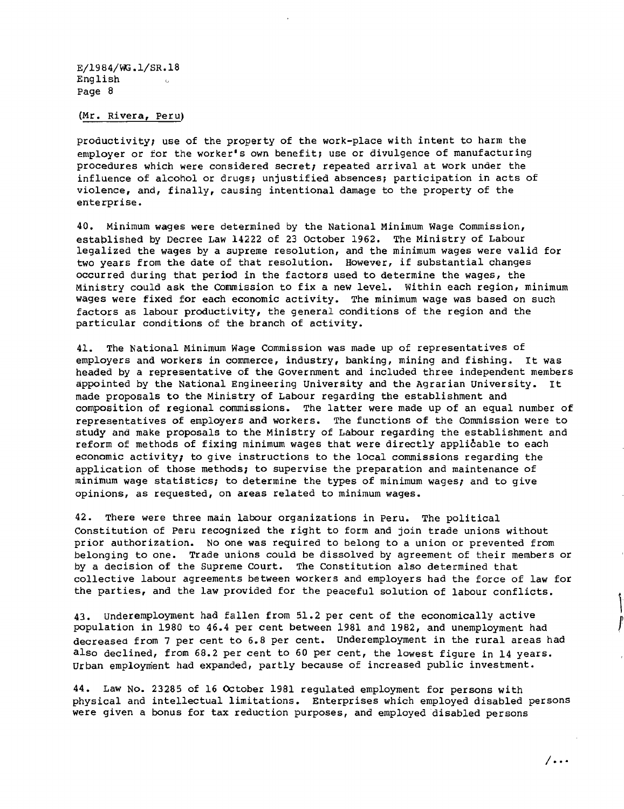(Mr. Rivera, Peru)

productivity; use of the property of the work-place with intent to harm the employer or for the worker's own benefit; use or divulgence of manufacturing procedures which were considered secret; repeated arrival at work under the influence of alcohol or drugs; unjustified absences; participation in acts of violence, and, finally, causing intentional damage to the property of the enterprise.

40. Minimum wages were determined by the National Minimum Wage Commission, estaplished by Decree Law 14222 of 23 October 1962. The Ministry of Labour legalized the wages by a supreme resolution, and the minimum wages were valid for two years from the date of that resolution. However, if substantial changes occurred during that period in the factors used to determine the wages, the Ministry could ask the Commission to fix a new level. Within each region, minimum wages were fixed for each economic activity. The minimum wage was based on such factors as labour productivity, the general conditions of the region and the particular conditions of the branch of activity.

41. The National Minimum Wage Commission was made up of representatives of employers and workers in commerce, industry, banking, mining and fishing. It was headed by a representative of the Government and included three independent members appointed by the National Engineering University and the Agrarian University. It made proposals to the Ministry of Labour regarding the establishment and composition of regional commissions. The latter were made up of an equal number of representatives of employers and workers. The functions of the Commission were to study and make proposals to the Ministry of Labour regarding the establishment and reform of methods of fixing minimum wages that were directly applicable to each economic activity; to give instructions to the local commissions regarding the application of those methods; to supervise the preparation and maintenance of minimum wage statistics; to determine the types of minimum wages; and to give opinions, as requested, on areas related to minimum wages.

42. There were three main labour organizations in Peru. The political Constitution of Peru recognized the right to form and join trade unions without prior authorization. No one was required to belong to a union or prevented from belonging to one. Trade unions could be dissolved by agreement of their members or by a decision of the Supreme Court. The Constitution also determined that collective labour agreements between workers and employers had the force of law for the parties, and the law provided for the peaceful solution of labour conflicts.

43. Underemployment had fallen from 51.2 per cent of the economically active population in 1980 to 46.4 per cent between 1981 and 1982, and unemployment had decreased from 7 per cent to 6.8 per cent. Underemployment in the rural areas had also declined, from 68.2 per cent to 60 per cent, the lowest figure in 14 years. Urban employment had expanded, partly because of increased public investment.

44. Law No. 23285 of 16 OCtober 1981 regulated employment for persons with physical and intellectual limitations. Enterprises which employed disabled persons were given a bonus for tax reduction purposes, and employed disabled persons

 $/$ ...

,

r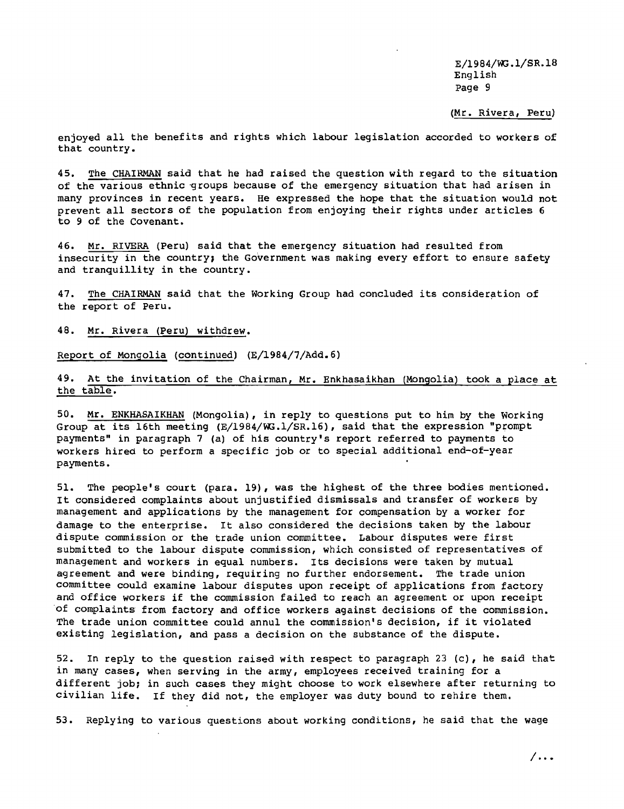(Mr. Rivera, Peru)

enjoyed all the benefits and rights which labour legislation accorded to workers of that country.

45. The CHAIRMAN said that he had raised the question with regard to the situation of the various ethnic groups because of the emergency situation that had arisen in many provinces in recent years. He expressed the hope that the situation would not prevent all sectors of the population from enjoying their rights under articles 6 to 9 of the Covenant.

46. Mr. RIVERA (Peru) said that the emergency situation had resulted from insecurity in the country; the Government was making every effort to ensure safety and tranquillity in the country.

47. The CHAIRMAN said that the Working Group had concluded its consideration of the report of Peru.

48. Mr. Rivera (Peru) withdrew.

Report of Mongolia (continued) (E/1984/7/Add.6)

49. At the invitation of the Chairman, Mr. Enkhasaikhan (Mongolia) took a place at the table.

50. Mr. ENKHASAIKHAN (Mongolia), in reply to questions put to him by the Working Group at its 16th meeting (E/1984/WG.1/SR.16), said that the expression "prompt payments" in paragraph 7 (a) of his country's report referred to payments to workers hired to perform a specific job or to special additional end-of-year payments.

51. The people's court (para. 19), was the highest of the three bodies mentioned. It considered complaints about unjustified dismissals and transfer of workers by management and applications by the management for compensation by a worker for damage to the enterprise. It also considered the decisions taken by the labour dispute commission or the trade union committee. Labour disputes were first submitted to the labour dispute commission, which consisted of representatives of management and workers in equal numbers. Its decisions were taken by mutual agreement and were binding, requiring no further endorsement. The trade union committee could examine labour disputes upon receipt of applications from factory and office workers if the commission failed to reach an agreement or upon receipt of complaints from factory and office workers against decisions of the commission. The trade union committee could annul the commission's decision, if it violated existing legislation, and pass a decision on the substance of the dispute.

52. In reply to the question raised with respect to paragraph 23 (c), he said that in many cases, when serving in the army, employees received training for a different job; in such cases they might choose to work elsewhere after returning to civilian life. If they did not, the employer was duty bound to rehire them.

53. Replying to various questions about working conditions, he said that the wage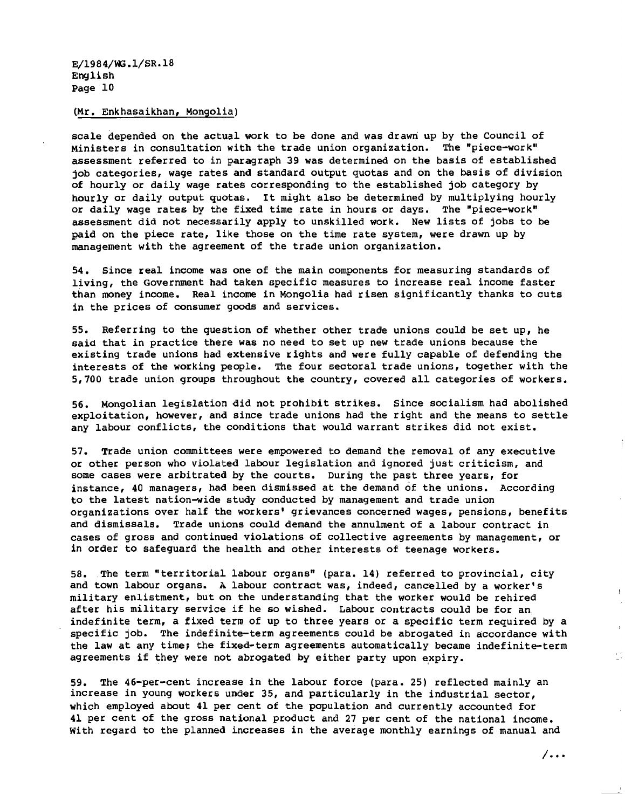#### (Mr. Enkhasaikhan, Mongolia)

scale depended on the actual work to be done and was drawn up by the council of Ministers in consultation with the trade union organization. The "piece-work" assessment referred to in paragraph 39 was determined on the basis of established job categories, wage rates and standard output quotas and on the basis of division of hourly or daily wage rates corresponding to the established job category by hourly or daily output quotas. It might also be determined by multiplying hourly or daily wage rates by the fixed time rate in hours or days. The "piece-work" assessment did not necessarily apply to unskilled work. New lists of jobs to be paid on the piece rate, like those on the time rate system, were drawn up by management with the agreement of the trade union organization.

54. Since real income was one of the main components for measuring standards of living, the Government had taken specific measures to increase real income faster than money income. Real income in Mongolia had risen significantly thanks to cuts in the prices of consumer goods and services.

55. Referring to the question of whether other trade unions could be set up, he said that in practice there was no need to set up new trade unions because the existing trade unions had extensive rights and were fully capable of defending the interests of the working people. The four sectoral trade unions, together with the 5,700 trade union groups throughout the country, covered all categories of workers.

56. Mongolian legislation did not prohibit strikes. Since socialism had abolished exploitation, however, and since trade unions had the right and the means to settle any labour conflicts, the conditions that would warrant strikes did not exist.

57. Trade union committees were empowered to demand the removal of any executive or other person who violated labour legislation and ignored just criticism, and some cases were arbitrated by the courts. During the past three years, for instance, 40 managers, had been dismissed at the demand of the unions. According to the latest nation-wide stUdy conducted by management and trade union organizations over half the workers' grievances concerned wages, pensions, benefits and dismissals. Trade unions could demand the annulment of a labour contract in cases of gross and continued violations of collective agreements by management, or in order to safeguard the health and other interests of teenage workers.

58. The term "territorial labour organs" (para. 14) referred to provincial, city and town labour organs. A labour contract was, indeed, cancelled by a worker's military enlistment, but on the understanding that the worker would be rehired after his military service if he so wished. Labour contracts could be for an indefinite term, a fixed term of up to three years or a specific term required by a specific job. The indefinite-term agreements could be abrogated in accordance with the law at any time; the fixed-term agreements automatically became indefinite-term agreements if they were not abrogated by either party upon expiry.

59. The 46-per-cent increase in the labour force (para. 25) reflected mainly an increase in young workers under 35, and particularly in the industrial sector, which employed about 41 per cent of the population and currently accounted for 41 per cent of the gross national product and 27 per cent of the national income. With regard to the planned increases in the average monthly earnings of manual and

/ ...

 $\mathcal{L}$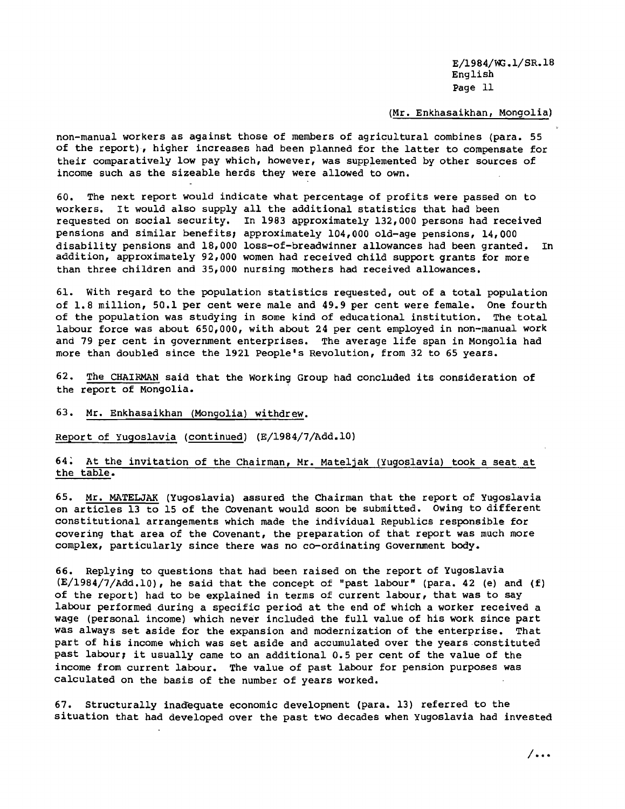#### (Mr. Enkhasaikhan, Mongolia)

non-manual workers as against those of members of agricultural combines (para. 55 of the report), higher increases had been planned for the latter to compensate for their comparatively low pay which, however, was supplemented by other sources of income such as the sizeable herds they were allowed to own.

60. The next report would indicate what percentage of profits were passed on to workers. It would also supply all the additional statistics that had been requested on social security. In 1983 approximately 132,000 persons had received pensions and similar benefits; approximately 104,000 old-age pensions, 14,000 disability pensions and 18,000 loss-of-breadwinner allowances had been granted. In addition, approximately 92,000 women had received child support grants for more than three children and 35,000 nursing mothers had received allowances.

61. with regard to the population statistics requested, out of a total population of 1.8 million, 50.1 per cent were male and 49.9 per cent were female. One fourth of the population was studying in some kind of educational institution. The total labour force was about 650,000, with about 24 per cent employed in non-manual work and 79 per cent in government enterprises. The average life span in Mongolia had more than doubled since the 1921 People's Revolution, from 32 to 65 years.

 $62.$  The CHAIRMAN said that the Working Group had concluded its consideration of the report of Mongolia.

#### 63. Mr. Enkhasaikhan (Mongolia) withdrew.

Report of Yugoslavia (continued) (E/1984/7/Add.lO)

#### 64. At the invitation of the Chairman, Mr. Mateljak (Yugoslavia) took a seat at the table.

65. Mr. MATELJAK (Yugoslavia) assured the Chairman that the report of Yugoslavia on articles 13 to 15 of the COvenant would soon be submitted. Owing to different constitutional arrangements which made the individual Republics responsible for covering that area of the Covenant, the preparation of that report was much more complex, particularly since there was no co-ordinating Government body.

66. Replying to questions that had been raised on the report of Yugoslavia  $(E/1984/7/Add.10)$ , he said that the concept of "past labour" (para. 42 (e) and (f) of the report) had to be explained in terms of current labour, that was to say labour performed during a specific period at the end of which a worker received a wage (personal income) which never included the full value of his work since part was always set aside for the expansion and modernization of the enterprise. That part of his income which was set aside and accumulated over the years constituted past labour, it usually came to an additional 0.5 per cent of the value of the income from current labour. The value of past labour for pension purposes was calculated on the basis of the number of years worked.

67. Structurally inadequate economic development (para. 13) referred to the situation that had developed over the past two decades when Yugoslavia had invested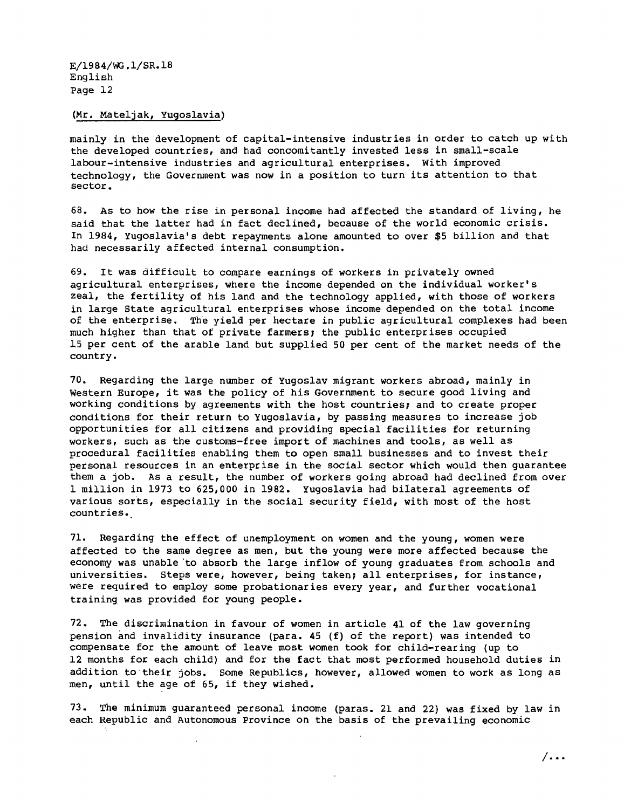(Mr. Mateljak, Yugoslavia)

mainly in the development of capital-intensive industries in order to catch up with the developed countries, and had concomitantly invested less in small-scale labour-intensive industries and agricultural enterprises. with improved technology, the Government was now in <sup>a</sup> position to turn its attention to that sector.

68. As to how the rise in personal income had affected the standard of living, he said that the latter had in fact declined, because of the world economic crisis. In 1984, Yugoslavia's debt repayments alone amounted to over \$5 billion and that had necessarily affected internal consumption.

69. It was difficult to compare earnings of workers in privately owned agricultural enterprises, where the income depended on the individual worker's zeal, the fertility of his land and the technology applied, with those of workers in large State agricultural enterprises whose income depended on the total income of the enterprise. The yield per hectare in public agricultural complexes had been much higher than that of private farmers; the public enterprises occupied 15 per cent of the arable land but supplied 50 per cent of the market needs of the country.

70. Regarding the large number of Yugoslav migrant workers abroad, mainly in western Europe, it was the policy of his Government to secure good living and working conditions by agreements with the host countries; and to create proper conditions for their return to Yugoslavia, by passing measures to increase job opportunities for all citizens and providing special facilities for returning workers, such as the customs-free import of machines and tools, as well as procedural facilities enabling them to open small businesses and to invest their personal resources in an enterprise in the social sector which would then guarantee them a job. As a result, the number of workers going abroad had declined from over 1 million in 1973 to 625,000 in 1982. Yugoslavia had bilateral agreements of various sorts, especially in the social security field, with most of the host countries.

71. Regarding the effect of unemployment on women and the young, women were affected to the same degree as men, but the young were more affected because the economy was unable 'to absorb the large inflow of young graduates from schools and universities. steps were, however, being taken; all enterprises, for instance, were required to employ some probationaries every year, and further vocational training was provided for young people.

72. The discrimination in favour of women in article 41 of the law governing pension and invalidity insurance (para. 45 (f) of the report) was intended to compensate for the amount of leave most women took for child-rearing (up to 12 months for each child) and for the fact that most performed household duties in addition to their jobs. Some Republics, however, allowed women to work as long as men, until the age of 65, if they wished.

73. The minimum guaranteed personal income (paras. 21 and 22) was fixed by law in each Republic and Autonomous Province on the basis of the prevailing economic